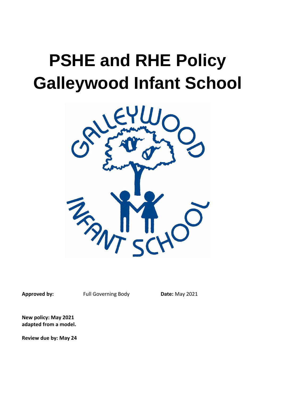# **PSHE and RHE Policy Galleywood Infant School**



Approved by: Full Governing Body Date: May 2021

**New policy: May 2021 adapted from a model.**

**Review due by: May 24**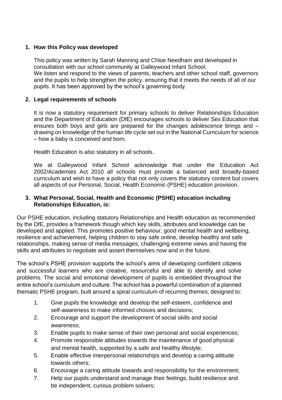## **1. How this Policy was developed**

This policy was written by Sarah Manning and Chloe Needham and developed in consultation with our school community at Galleywood Infant School. We listen and respond to the views of parents, teachers and other school staff, governors and the pupils to help strengthen the policy, ensuring that it meets the needs of all of our pupils. It has been approved by the school's governing body.

## **2. Legal requirements of schools**

It is now a statutory requirement for primary schools to deliver Relationships Education and the Department of Education (DfE) encourages schools to deliver Sex Education that ensures both boys and girls are prepared for the changes adolescence brings and – drawing on knowledge of the human life cycle set out in the National Curriculum for science – how a baby is conceived and born.

Health Education is also statutory in all schools.

We at Galleywood Infant School acknowledge that under the Education Act 2002/Academies Act 2010 all schools must provide a balanced and broadly-based curriculum and wish to have a policy that not only covers the statutory content but covers all aspects of our Personal, Social, Health Economic (PSHE) education provision.

## **3. What Personal, Social, Health and Economic (PSHE) education including Relationships Education, is:**

Our PSHE education, including statutory Relationships and Health education as recommended by the DfE, provides a framework though which key skills, attributes and knowledge can be developed and applied. This promotes positive behaviour, good mental health and wellbeing, resilience and achievement, helping children to stay safe online, develop healthy and safe relationships, making sense of media messages, challenging extreme views and having the skills and attributes to negotiate and assert themselves now and in the future.

The school's PSHE provision supports the school's aims of developing confident citizens and successful learners who are creative, resourceful and able to identify and solve problems. The social and emotional development of pupils is embedded throughout the entire school's curriculum and culture. The school has a powerful combination of a planned thematic PSHE program, built around a spiral curriculum of recurring themes, designed to:

- 1. Give pupils the knowledge and develop the self-esteem, confidence and self-awareness to make informed choices and decisions;
- 2. Encourage and support the development of social skills and social awareness;
- 3. Enable pupils to make sense of their own personal and social experiences;
- 4. Promote responsible attitudes towards the maintenance of good physical and mental health, supported by a safe and healthy lifestyle;
- 5. Enable effective interpersonal relationships and develop a caring attitude towards others;
- 6. Encourage a caring attitude towards and responsibility for the environment;
- 7. Help our pupils understand and manage their feelings, build resilience and be independent, curious problem solvers;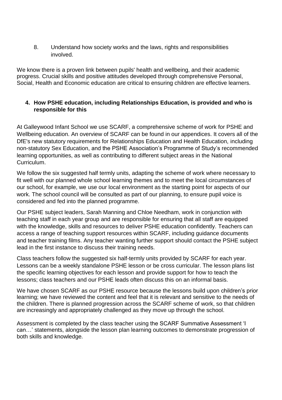8. Understand how society works and the laws, rights and responsibilities involved.

We know there is a proven link between pupils' health and wellbeing, and their academic progress. Crucial skills and positive attitudes developed through comprehensive Personal, Social, Health and Economic education are critical to ensuring children are effective learners.

## **4. How PSHE education, including Relationships Education, is provided and who is responsible for this**

At Galleywood Infant School we use SCARF, a comprehensive scheme of work for PSHE and Wellbeing education. An overview of SCARF can be found in our appendices. It covers all of the DfE's new statutory requirements for Relationships Education and Health Education, including non-statutory Sex Education, and the PSHE Association's Programme of Study's recommended learning opportunities, as well as contributing to different subject areas in the [National](https://www.coramlifeeducation.org.uk/scarf/national-curriculum/)  [Curriculum.](https://www.coramlifeeducation.org.uk/scarf/national-curriculum/)

We follow the six suggested half termly units, adapting the scheme of work where necessary to fit well with our planned whole school learning themes and to meet the local circumstances of our school, for example, we use our local environment as the starting point for aspects of our work. The school council will be consulted as part of our planning, to ensure pupil voice is considered and fed into the planned programme.

Our PSHE subject leaders, Sarah Manning and Chloe Needham, work in conjunction with teaching staff in each year group and are responsible for ensuring that all staff are equipped with the knowledge, skills and resources to deliver PSHE education confidently. Teachers can access a range of teaching support resources within SCARF, including guidance documents and teacher training films. Any teacher wanting further support should contact the PSHE subject lead in the first instance to discuss their training needs.

Class teachers follow the suggested six half-termly units provided by SCARF for each year. Lessons can be a weekly standalone PSHE lesson or be cross curricular. The lesson plans list the specific learning objectives for each lesson and provide support for how to teach the lessons; class teachers and our PSHE leads often discuss this on an informal basis.

We have chosen SCARF as our PSHE resource because the lessons build upon children's prior learning; we have reviewed the content and feel that it is relevant and sensitive to the needs of the children. There is planned progression across the SCARF scheme of work, so that children are increasingly and appropriately challenged as they move up through the school.

Assessment is completed by the class teacher using the SCARF Summative Assessment 'I can…' statements, alongside the lesson plan learning outcomes to demonstrate progression of both skills and knowledge*.*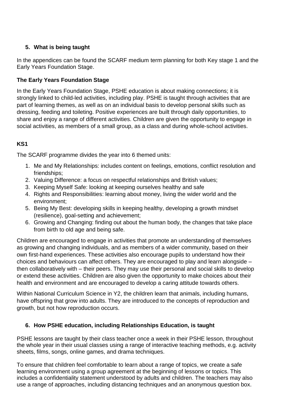# **5. What is being taught**

In the appendices can be found the SCARF medium term planning for both Key stage 1 and the Early Years Foundation Stage.

# **The Early Years Foundation Stage**

In the Early Years Foundation Stage, PSHE education is about making connections; it is strongly linked to child-led activities, including play. PSHE is taught through activities that are part of learning themes, as well as on an individual basis to develop personal skills such as dressing, feeding and toileting. Positive experiences are built through daily opportunities, to share and enjoy a range of different activities. Children are given the opportunity to engage in social activities, as members of a small group, as a class and during whole-school activities.

# **KS1**

The SCARF programme divides the year into 6 themed units:

- 1. Me and My Relationships: includes content on feelings, emotions, conflict resolution and friendships;
- 2. Valuing Difference: a focus on respectful relationships and British values;
- 3. Keeping Myself Safe: looking at keeping ourselves healthy and safe
- 4. Rights and Responsibilities: learning about money, living the wider world and the environment;
- 5. Being My Best: developing skills in keeping healthy, developing a growth mindset (resilience), goal-setting and achievement;
- 6. Growing and Changing: finding out about the human body, the changes that take place from birth to old age and being safe.

Children are encouraged to engage in activities that promote an understanding of themselves as growing and changing individuals, and as members of a wider community, based on their own first-hand experiences. These activities also encourage pupils to understand how their choices and behaviours can affect others. They are encouraged to play and learn alongside – then collaboratively with – their peers. They may use their personal and social skills to develop or extend these activities. Children are also given the opportunity to make choices about their health and environment and are encouraged to develop a caring attitude towards others.

Within National Curriculum Science in Y2, the children learn that animals, including humans, have offspring that grow into adults. They are introduced to the concepts of reproduction and growth, but not how reproduction occurs.

# **6. How PSHE education, including Relationships Education, is taught**

PSHE lessons are taught by their class teacher once a week in their PSHE lesson, throughout the whole year in their usual classes using a range of interactive teaching methods, e.g. activity sheets, films, songs, online games, and drama techniques.

To ensure that children feel comfortable to learn about a range of topics, we create a safe learning environment using a group agreement at the beginning of lessons or topics. This includes a confidentiality statement understood by adults and children. The teachers may also use a range of approaches, including distancing techniques and an anonymous question box.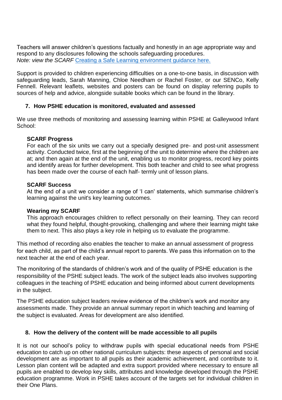Teachers will answer children's questions factually and honestly in an age appropriate way and respond to any disclosures following the schools safeguarding procedures. *Note: view the SCARF* [Creating a Safe Learning environment guidance here.](https://www.coramlifeeducation.org.uk/scarf/creating-a-safe-learning-environment)

Support is provided to children experiencing difficulties on a one-to-one basis, in discussion with safeguarding leads, Sarah Manning, Chloe Needham or Rachel Foster, or our SENCo, Kelly Fennell. Relevant leaflets, websites and posters can be found on display referring pupils to sources of help and advice, alongside suitable books which can be found in the library.

### **7. How PSHE education is monitored, evaluated and assessed**

We use three methods of monitoring and assessing learning within PSHE at Galleywood Infant School:

#### **SCARF Progress**

For each of the six units we carry out a specially designed pre- and post-unit assessment activity. Conducted twice, first at the beginning of the unit to determine where the children are at; and then again at the end of the unit, enabling us to monitor progress, record key points and identify areas for further development. This both teacher and child to see what progress has been made over the course of each half- termly unit of lesson plans.

#### **SCARF Success**

At the end of a unit we consider a range of 'I can' statements, which summarise children's learning against the unit's key learning outcomes.

#### **Wearing my SCARF**

This approach encourages children to reflect personally on their learning. They can record what they found helpful, thought-provoking, challenging and where their learning might take them to next. This also plays a key role in helping us to evaluate the programme.

This method of recording also enables the teacher to make an annual assessment of progress for each child, as part of the child's annual report to parents. We pass this information on to the next teacher at the end of each year.

The monitoring of the standards of children's work and of the quality of PSHE education is the responsibility of the PSHE subject leads. The work of the subject leads also involves supporting colleagues in the teaching of PSHE education and being informed about current developments in the subject.

The PSHE education subject leaders review evidence of the children's work and monitor any assessments made. They provide an annual summary report in which teaching and learning of the subject is evaluated. Areas for development are also identified.

#### **8. How the delivery of the content will be made accessible to all pupils**

It is not our school's policy to withdraw pupils with special educational needs from PSHE education to catch up on other national curriculum subjects: these aspects of personal and social development are as important to all pupils as their academic achievement, and contribute to it. Lesson plan content will be adapted and extra support provided where necessary to ensure all pupils are enabled to develop key skills, attributes and knowledge developed through the PSHE education programme. Work in PSHE takes account of the targets set for individual children in their One Plans.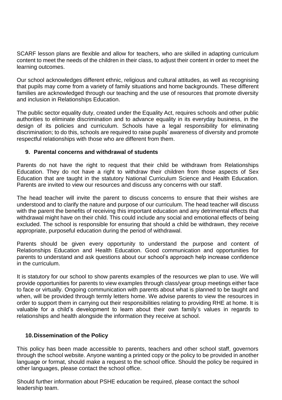SCARF lesson plans are flexible and allow for teachers, who are skilled in adapting curriculum content to meet the needs of the children in their class, to adjust their content in order to meet the learning outcomes.

Our school acknowledges different ethnic, religious and cultural attitudes, as well as recognising that pupils may come from a variety of family situations and home backgrounds. These different families are acknowledged through our teaching and the use of resources that promote diversity and inclusion in Relationships Education.

The public sector equality duty, created under the Equality Act, requires schools and other public authorities to eliminate discrimination and to advance equality in its everyday business, in the design of its policies and curriculum. Schools have a legal responsibility for eliminating discrimination; to do this, schools are required to raise pupils' awareness of diversity and promote respectful relationships with those who are different from them.

### **9. Parental concerns and withdrawal of students**

Parents do not have the right to request that their child be withdrawn from Relationships Education. They do not have a right to withdraw their children from those aspects of Sex Education that are taught in the statutory National Curriculum Science and Health Education. Parents are invited to view our resources and discuss any concerns with our staff.

The head teacher will invite the parent to discuss concerns to ensure that their wishes are understood and to clarify the nature and purpose of our curriculum. The head teacher will discuss with the parent the benefits of receiving this important education and any detrimental effects that withdrawal might have on their child. This could include any social and emotional effects of being excluded. The school is responsible for ensuring that should a child be withdrawn, they receive appropriate, purposeful education during the period of withdrawal.

Parents should be given every opportunity to understand the purpose and content of Relationships Education and Health Education. Good communication and opportunities for parents to understand and ask questions about our school's approach help increase confidence in the curriculum.

It is statutory for our school to show parents examples of the resources we plan to use. We will provide opportunities for parents to view examples through class/year group meetings either face to face or virtually. Ongoing communication with parents about what is planned to be taught and when, will be provided through termly letters home. We advise parents to view the resources in order to support them in carrying out their responsibilities relating to providing RHE at home. It is valuable for a child's development to learn about their own family's values in regards to relationships and health alongside the information they receive at school.

#### **10.Dissemination of the Policy**

This policy has been made accessible to parents, teachers and other school staff, governors through the school website. Anyone wanting a printed copy or the policy to be provided in another language or format, should make a request to the school office. Should the policy be required in other languages, please contact the school office.

Should further information about PSHE education be required, please contact the school leadership team.